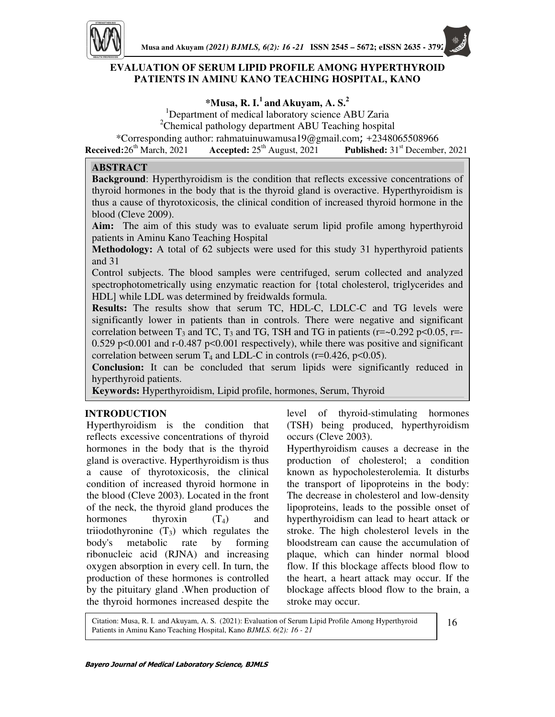

# **EVALUATION OF SERUM LIPID PROFILE AMONG HYPERTHYROID PATIENTS IN AMINU KANO TEACHING HOSPITAL, KANO**

**\*Musa, R. I.<sup>1</sup>and Akuyam, A. S.<sup>2</sup>**

<sup>1</sup>Department of medical laboratory science ABU Zaria

<sup>2</sup>Chemical pathology department ABU Teaching hospital

\*Corresponding author: rahmatuinuwamusa19@gmail.com; +2348065508966<br>Received:26<sup>th</sup> March, 2021 **Accepted:**  $25<sup>th</sup>$  August, 2021 **Published:**  $31<sup>st</sup>$  December

**Accepted:**  $25^{th}$  August,  $2021$  **Published:**  $31^{st}$  December, 2021

### **ABSTRACT**

**Background**: Hyperthyroidism is the condition that reflects excessive concentrations of thyroid hormones in the body that is the thyroid gland is overactive. Hyperthyroidism is thus a cause of thyrotoxicosis, the clinical condition of increased thyroid hormone in the blood (Cleve 2009).

**Aim:** The aim of this study was to evaluate serum lipid profile among hyperthyroid patients in Aminu Kano Teaching Hospital

**Methodology:** A total of 62 subjects were used for this study 31 hyperthyroid patients and 31

Control subjects. The blood samples were centrifuged, serum collected and analyzed spectrophotometrically using enzymatic reaction for {total cholesterol, triglycerides and HDL] while LDL was determined by freidwalds formula.

**Results:** The results show that serum TC, HDL-C, LDLC-C and TG levels were significantly lower in patients than in controls. There were negative and significant correlation between  $T_3$  and TC,  $T_3$  and TG, TSH and TG in patients (r=~0.292 p<0.05, r=-0.529 p<0.001 and r-0.487 p<0.001 respectively), while there was positive and significant correlation between serum  $T_4$  and LDL-C in controls (r=0.426, p<0.05).

**Conclusion:** It can be concluded that serum lipids were significantly reduced in hyperthyroid patients.

**Keywords:** Hyperthyroidism, Lipid profile, hormones, Serum, Thyroid

## **INTRODUCTION**

Hyperthyroidism is the condition that reflects excessive concentrations of thyroid hormones in the body that is the thyroid gland is overactive. Hyperthyroidism is thus a cause of thyrotoxicosis, the clinical condition of increased thyroid hormone in the blood (Cleve 2003). Located in the front of the neck, the thyroid gland produces the hormones thyroxin  $(T_4)$  and triiodothyronine  $(T_3)$  which regulates the body's metabolic rate by forming ribonucleic acid (RJNA) and increasing oxygen absorption in every cell. In turn, the production of these hormones is controlled by the pituitary gland .When production of the thyroid hormones increased despite the

level of thyroid-stimulating hormones (TSH) being produced, hyperthyroidism occurs (Cleve 2003).

Hyperthyroidism causes a decrease in the production of cholesterol; a condition known as hypocholesterolemia. It disturbs the transport of lipoproteins in the body: The decrease in cholesterol and low-density lipoproteins, leads to the possible onset of hyperthyroidism can lead to heart attack or stroke. The high cholesterol levels in the bloodstream can cause the accumulation of plaque, which can hinder normal blood flow. If this blockage affects blood flow to the heart, a heart attack may occur. If the blockage affects blood flow to the brain, a stroke may occur.

Citation: Musa, R. I. and Akuyam, A. S. (2021): Evaluation of Serum Lipid Profile Among Hyperthyroid Patients in Aminu Kano Teaching Hospital, Kano *BJMLS. 6(2): 16 - 21*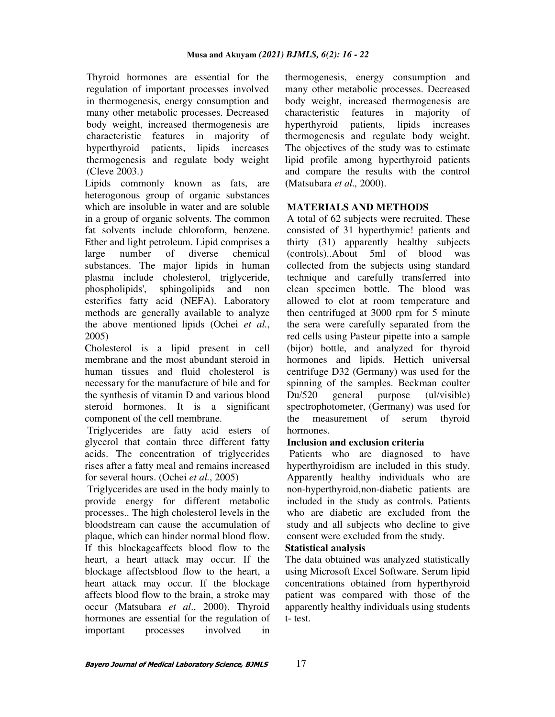Thyroid hormones are essential for the regulation of important processes involved in thermogenesis, energy consumption and many other metabolic processes. Decreased body weight, increased thermogenesis are characteristic features in majority of hyperthyroid patients, lipids increases thermogenesis and regulate body weight (Cleve 2003.)

Lipids commonly known as fats, are heterogonous group of organic substances which are insoluble in water and are soluble in a group of organic solvents. The common fat solvents include chloroform, benzene. Ether and light petroleum. Lipid comprises a large number of diverse chemical substances. The major lipids in human plasma include cholesterol, triglyceride, phospholipids', sphingolipids and non esterifies fatty acid (NEFA). Laboratory methods are generally available to analyze the above mentioned lipids (Ochei *et al.*, 2005)

Cholesterol is a lipid present in cell membrane and the most abundant steroid in human tissues and fluid cholesterol is necessary for the manufacture of bile and for the synthesis of vitamin D and various blood steroid hormones. It is a significant component of the cell membrane.

 Triglycerides are fatty acid esters of glycerol that contain three different fatty acids. The concentration of triglycerides rises after a fatty meal and remains increased for several hours. (Ochei *et al.*, 2005)

 Triglycerides are used in the body mainly to provide energy for different metabolic processes.. The high cholesterol levels in the bloodstream can cause the accumulation of plaque, which can hinder normal blood flow. If this blockageaffects blood flow to the heart, a heart attack may occur. If the blockage affectsblood flow to the heart, a heart attack may occur. If the blockage affects blood flow to the brain, a stroke may occur (Matsubara *et al*., 2000). Thyroid hormones are essential for the regulation of important processes involved in thermogenesis, energy consumption and many other metabolic processes. Decreased body weight, increased thermogenesis are characteristic features in majority of hyperthyroid patients, lipids increases thermogenesis and regulate body weight. The objectives of the study was to estimate lipid profile among hyperthyroid patients and compare the results with the control **(**Matsubara *et al.,* 2000).

## **MATERIALS AND METHODS**

A total of 62 subjects were recruited. These consisted of 31 hyperthymic! patients and thirty (31) apparently healthy subjects (controls)..About 5ml of blood was collected from the subjects using standard technique and carefully transferred into clean specimen bottle. The blood was allowed to clot at room temperature and then centrifuged at 3000 rpm for 5 minute the sera were carefully separated from the red cells using Pasteur pipette into a sample (bijor) bottle, and analyzed for thyroid hormones and lipids. Hettich universal centrifuge D32 (Germany) was used for the spinning of the samples. Beckman coulter Du/520 general purpose (ul/visible) spectrophotometer, (Germany) was used for the measurement of serum thyroid hormones.

### **Inclusion and exclusion criteria**

 Patients who are diagnosed to have hyperthyroidism are included in this study. Apparently healthy individuals who are non-hyperthyroid,non-diabetic patients are included in the study as controls. Patients who are diabetic are excluded from the study and all subjects who decline to give consent were excluded from the study.

#### **Statistical analysis**

The data obtained was analyzed statistically using Microsoft Excel Software. Serum lipid concentrations obtained from hyperthyroid patient was compared with those of the apparently healthy individuals using students t- test.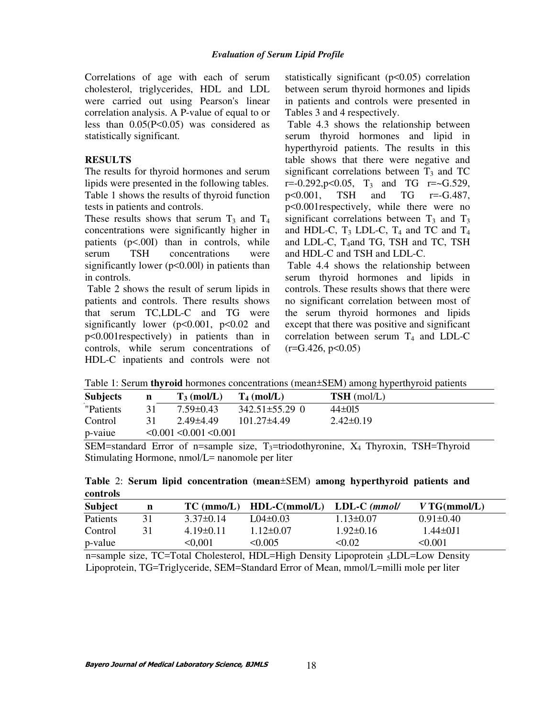Correlations of age with each of serum cholesterol, triglycerides, HDL and LDL were carried out using Pearson's linear correlation analysis. A P-value of equal to or less than 0.05(P<0.05) was considered as statistically significant.

#### **RESULTS**

The results for thyroid hormones and serum lipids were presented in the following tables. Table 1 shows the results of thyroid function tests in patients and controls.

These results shows that serum  $T_3$  and  $T_4$ concentrations were significantly higher in patients (p<.00I) than in controls, while serum TSH concentrations were significantly lower ( $p<0.001$ ) in patients than in controls.

 Table 2 shows the result of serum lipids in patients and controls. There results shows that serum TC,LDL-C and TG were significantly lower ( $p<0.001$ ,  $p<0.02$  and p<0.001respectively) in patients than in controls, while serum concentrations of HDL-C inpatients and controls were not statistically significant  $(p<0.05)$  correlation between serum thyroid hormones and lipids in patients and controls were presented in Tables 3 and 4 respectively.

 Table 4.3 shows the relationship between serum thyroid hormones and lipid in hyperthyroid patients. The results in this table shows that there were negative and significant correlations between  $T_3$  and TC  $r=-0.292, p<0.05$ ,  $T_3$  and TG  $r=-G.529$ , p<0.001, TSH and TG r=-G.487, p<0.001respectively, while there were no significant correlations between  $T_3$  and  $T_3$ and HDL-C,  $T_3$  LDL-C,  $T_4$  and TC and  $T_4$ and LDL-C, T<sub>4</sub>and TG, TSH and TC, TSH and HDL-C and TSH and LDL-C.

 Table 4.4 shows the relationship between serum thyroid hormones and lipids in controls. These results shows that there were no significant correlation between most of the serum thyroid hormones and lipids except that there was positive and significant correlation between serum  $T_4$  and LDL-C  $(r = G.426, p < 0.05)$ 

Table 1: Serum **thyroid** hormones concentrations (mean±SEM) among hyperthyroid patients

| <b>Subjects</b> | n  | $T_3$ (mol/L)                      | $T_4$ (mol/L)        | $TSH$ (mol/L)   |
|-----------------|----|------------------------------------|----------------------|-----------------|
| "Patients"      | 31 | $7.59 \pm 0.43$                    | $342.51 \pm 55.29$ 0 | $44\pm015$      |
| Control         |    | $2.49\pm4.49$                      | $101.27\pm4.49$      | $2.42 \pm 0.19$ |
| p-vaiue         |    | $\leq 0.001 \leq 0.001 \leq 0.001$ |                      |                 |

SEM=standard Error of n=sample size,  $T_3$ =triodothyronine,  $X_4$  Thyroxin, TSH=Thyroid Stimulating Hormone, nmol/L= nanomole per liter

|          |  | Table 2: Serum lipid concentration (mean±SEM) among hyperthyroid patients and |  |  |  |
|----------|--|-------------------------------------------------------------------------------|--|--|--|
| controls |  |                                                                               |  |  |  |

| <b>Subject</b> | n | $TC \, (mmo/L)$ | $HDL-C(mmol/L)$ | $LDL-C (mmol/$ | VTG(mmol/L)     |
|----------------|---|-----------------|-----------------|----------------|-----------------|
| Patients       |   | $3.37\pm 0.14$  | $L04\pm0.03$    | $1.13\pm0.07$  | $0.91 \pm 0.40$ |
| Control        |   | $4.19\pm0.11$   | $1.12\pm0.07$   | $1.92\pm0.16$  | $1.44 \pm 0.11$ |
| p-value        |   | < 0.001         | < 0.005         | < 0.02         | < 0.001         |

n=sample size, TC=Total Cholesterol, HDL=High Density Lipoprotein <sub>5</sub>LDL=Low Density Lipoprotein, TG=Triglyceride, SEM=Standard Error of Mean, mmol/L=milli mole per liter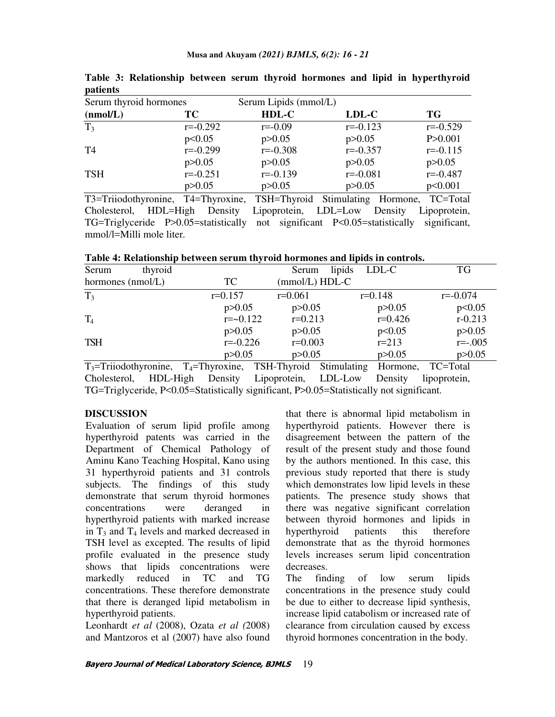| $r$ we see the set of $r$<br>Serum thyroid hormones |              | Serum Lipids (mmol/L) |              |              |  |
|-----------------------------------------------------|--------------|-----------------------|--------------|--------------|--|
| (nmol/L)                                            | ТC           | HDL-C                 | LDL-C        | TG           |  |
| T <sub>3</sub>                                      | $r = -0.292$ | $r = -0.09$           | $r = -0.123$ | $r = -0.529$ |  |
|                                                     | p<0.05       | p > 0.05              | p > 0.05     | P > 0.001    |  |
| T4                                                  | $r = -0.299$ | $r = -0.308$          | $r = -0.357$ | $r = -0.115$ |  |
|                                                     | p > 0.05     | p > 0.05              | p > 0.05     | p > 0.05     |  |
| <b>TSH</b>                                          | $r = -0.251$ | $r = -0.139$          | $r = -0.081$ | $r = -0.487$ |  |
|                                                     | p > 0.05     | p > 0.05              | p > 0.05     | p<0.001      |  |

**Table 3: Relationship between serum thyroid hormones and lipid in hyperthyroid patients** 

T3=Triiodothyronine, T4=Thyroxine, TSH=Thyroid Stimulating Hormone, TC=Total Cholesterol, HDL=High Density Lipoprotein, LDL=Low Density Lipoprotein, TG=Triglyceride P>0.05=statistically not significant P<0.05=statistically significant, mmol/l=Milli mole liter.

**Table 4: Relationship between serum thyroid hormones and lipids in controls.** 

| Serum<br>thyroid  |              | Serum     | lipids<br>LDL-C  | <b>TG</b>    |
|-------------------|--------------|-----------|------------------|--------------|
| hormones (nmol/L) | TC           |           | $(mmol/L) HDL-C$ |              |
| T <sub>3</sub>    | $r=0.157$    | $r=0.061$ | $r=0.148$        | $r = -0.074$ |
|                   | p > 0.05     | p > 0.05  | p > 0.05         | p<0.05       |
| $T_4$             | $r = 0.122$  | $r=0.213$ | $r=0.426$        | $r - 0.213$  |
|                   | p > 0.05     | p > 0.05  | p<0.05           | p > 0.05     |
| <b>TSH</b>        | $r = -0.226$ | $r=0.003$ | $r = 213$        | $r=-.005$    |
|                   | p > 0.05     | p > 0.05  | p > 0.05         | p > 0.05     |

T<sub>3</sub>=Triiodothyronine, T<sub>4</sub>=Thyroxine, TSH-Thyroid Stimulating Hormone, TC=Total Cholesterol, HDL-High Density Lipoprotein, LDL-Low Density lipoprotein, Cholesterol, HDL-High Density Lipoprotein, LDL-Low Density lipoprotein, TG=Triglyceride, P<0.05=Statistically significant, P>0.05=Statistically not significant.

#### **DISCUSSION**

Evaluation of serum lipid profile among hyperthyroid patents was carried in the Department of Chemical Pathology of Aminu Kano Teaching Hospital, Kano using 31 hyperthyroid patients and 31 controls subjects. The findings of this study demonstrate that serum thyroid hormones concentrations were deranged in hyperthyroid patients with marked increase in  $T_3$  and  $T_4$  levels and marked decreased in TSH level as excepted. The results of lipid profile evaluated in the presence study shows that lipids concentrations were markedly reduced in TC and TG concentrations. These therefore demonstrate that there is deranged lipid metabolism in hyperthyroid patients.

Leonhardt *et al* (2008), Ozata *et al (*2008) and Mantzoros et al (2007) have also found that there is abnormal lipid metabolism in hyperthyroid patients. However there is disagreement between the pattern of the result of the present study and those found by the authors mentioned. In this case, this previous study reported that there is study which demonstrates low lipid levels in these patients. The presence study shows that there was negative significant correlation between thyroid hormones and lipids in hyperthyroid patients this therefore demonstrate that as the thyroid hormones levels increases serum lipid concentration decreases.

The finding of low serum lipids concentrations in the presence study could be due to either to decrease lipid synthesis, increase lipid catabolism or increased rate of clearance from circulation caused by excess thyroid hormones concentration in the body.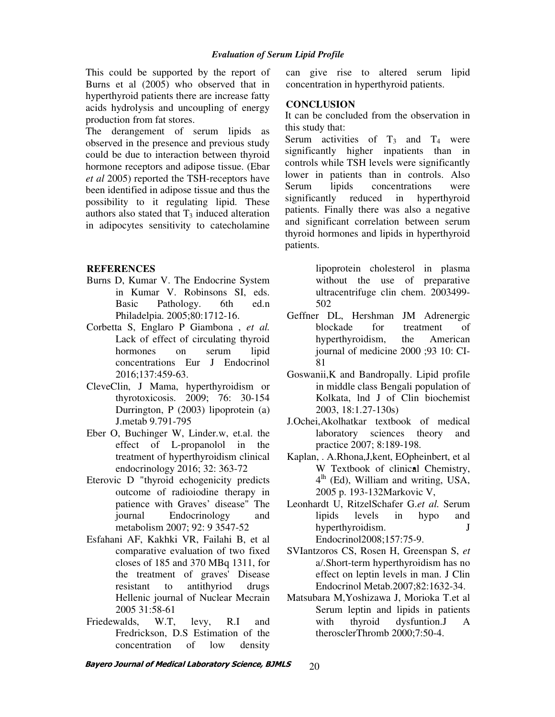This could be supported by the report of Burns et al (2005) who observed that in hyperthyroid patients there are increase fatty acids hydrolysis and uncoupling of energy production from fat stores.

The derangement of serum lipids as observed in the presence and previous study could be due to interaction between thyroid hormone receptors and adipose tissue. (Ebar *et al* 2005) reported the TSH-receptors have been identified in adipose tissue and thus the possibility to it regulating lipid. These authors also stated that  $T_3$  induced alteration in adipocytes sensitivity to catecholamine

### **REFERENCES**

- Burns D, Kumar V. The Endocrine System in Kumar V. Robinsons SI, eds. Basic Pathology. 6th ed.n Philadelpia. 2005;80:1712-16.
- Corbetta S, Englaro P Giambona , *et al.*  Lack of effect of circulating thyroid hormones on serum lipid concentrations Eur J Endocrinol 2016;137:459-63.
- CleveClin, J Mama, hyperthyroidism or thyrotoxicosis. 2009; 76: 30-154 Durrington, P (2003) lipoprotein (a) J.metab 9.791-795
- Eber O, Buchinger W, Linder.w, et.al. the effect of L-propanolol in the treatment of hyperthyroidism clinical endocrinology 2016; 32: 363-72 •
- Eterovic D "thyroid echogenicity predicts outcome of radioiodine therapy in patience with Graves' disease" The journal Endocrinology and metabolism 2007; 92: 9 3547-52
- Esfahani AF, Kakhki VR, Failahi B, et al comparative evaluation of two fixed closes of 185 and 370 MBq 1311, for the treatment of graves' Disease resistant to antithyriod drugs Hellenic journal of Nuclear Mecrain 2005 31:58-61
- Friedewalds, W.T, levy, R.I and Fredrickson, D.S Estimation of the concentration of low density

can give rise to altered serum lipid concentration in hyperthyroid patients.

### **CONCLUSION**

It can be concluded from the observation in this study that:

Serum activities of  $T_3$  and  $T_4$  were significantly higher inpatients than in controls while TSH levels were significantly lower in patients than in controls. Also Serum lipids concentrations were significantly reduced in hyperthyroid patients. Finally there was also a negative and significant correlation between serum thyroid hormones and lipids in hyperthyroid patients.

> lipoprotein cholesterol in plasma without the use of preparative ultracentrifuge clin chem. 2003499- 502

- Geffner DL, Hershman JM Adrenergic blockade for treatment of hyperthyroidism, the American journal of medicine 2000 ;93 10: CI-81
- Goswanii,K and Bandropally. Lipid profile in middle class Bengali population of Kolkata, lnd J of Clin biochemist 2003, 18:1.27-130s)
- J.Ochei,Akolhatkar textbook of medical laboratory sciences theory and practice 2007; 8:189-198.
- Kaplan, . A.Rhona,J,kent, EOpheinbert, et al W Textbook of clinical Chemistry, 4<sup>th</sup> (Ed), William and writing, USA, 2005 p. 193-132Markovic V,
- Leonhardt U, RitzelSchafer G.*et al.* Serum lipids levels in hypo and hyperthyroidism. J Endocrinol2008;157:75-9.
- SVIantzoros CS, Rosen H, Greenspan S, *et* a/.Short-term hyperthyroidism has no effect on leptin levels in man. J Clin Endocrinol Metab.2007;82:1632-34.
- Matsubara M,Yoshizawa J, Morioka T.et al Serum leptin and lipids in patients with thyroid dysfuntion.J A therosclerThromb 2000;7:50-4.

**Bayero Journal of Medical Laboratory Science, BJMLS**  20